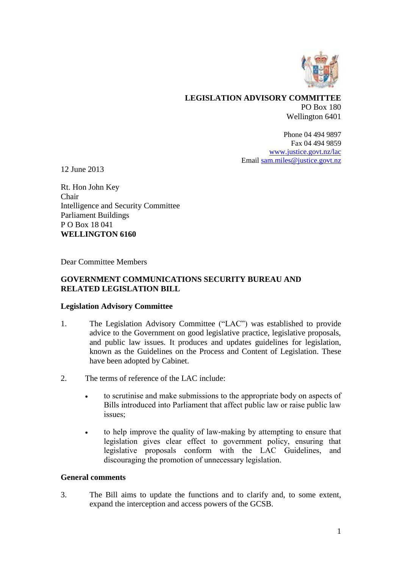

### **LEGISLATION ADVISORY COMMITTEE** PO Box 180 Wellington 6401

Phone 04 494 9897 Fax 04 494 9859 [www.justice.govt.nz/lac](http://www.justice.govt.nz/lac) Emai[l sam.miles@justice.govt.nz](mailto:sam.miles@justice.govt.nz)

12 June 2013

Rt. Hon John Key Chair Intelligence and Security Committee Parliament Buildings P O Box 18 041 **WELLINGTON 6160**

Dear Committee Members

### **GOVERNMENT COMMUNICATIONS SECURITY BUREAU AND RELATED LEGISLATION BILL**

#### **Legislation Advisory Committee**

- 1. The Legislation Advisory Committee ("LAC") was established to provide advice to the Government on good legislative practice, legislative proposals, and public law issues. It produces and updates guidelines for legislation, known as the Guidelines on the Process and Content of Legislation. These have been adopted by Cabinet.
- 2. The terms of reference of the LAC include:
	- to scrutinise and make submissions to the appropriate body on aspects of Bills introduced into Parliament that affect public law or raise public law issues;
	- to help improve the quality of law-making by attempting to ensure that legislation gives clear effect to government policy, ensuring that legislative proposals conform with the LAC Guidelines, and discouraging the promotion of unnecessary legislation.

#### **General comments**

3. The Bill aims to update the functions and to clarify and, to some extent, expand the interception and access powers of the GCSB.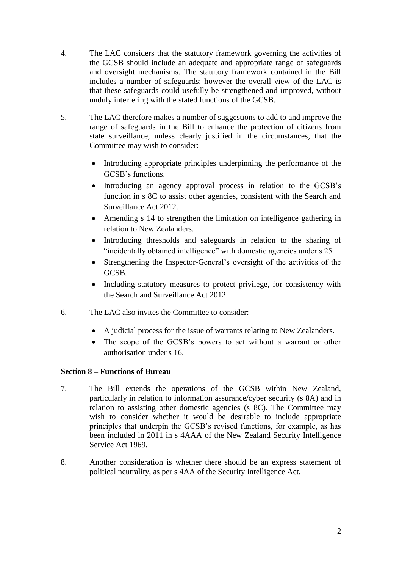- 4. The LAC considers that the statutory framework governing the activities of the GCSB should include an adequate and appropriate range of safeguards and oversight mechanisms. The statutory framework contained in the Bill includes a number of safeguards; however the overall view of the LAC is that these safeguards could usefully be strengthened and improved, without unduly interfering with the stated functions of the GCSB.
- 5. The LAC therefore makes a number of suggestions to add to and improve the range of safeguards in the Bill to enhance the protection of citizens from state surveillance, unless clearly justified in the circumstances, that the Committee may wish to consider:
	- Introducing appropriate principles underpinning the performance of the GCSB's functions.
	- Introducing an agency approval process in relation to the GCSB's function in s 8C to assist other agencies, consistent with the Search and Surveillance Act 2012.
	- Amending s 14 to strengthen the limitation on intelligence gathering in relation to New Zealanders.
	- Introducing thresholds and safeguards in relation to the sharing of "incidentally obtained intelligence" with domestic agencies under s 25.
	- Strengthening the Inspector-General's oversight of the activities of the GCSB.
	- Including statutory measures to protect privilege, for consistency with the Search and Surveillance Act 2012.
- 6. The LAC also invites the Committee to consider:
	- A judicial process for the issue of warrants relating to New Zealanders.
	- The scope of the GCSB's powers to act without a warrant or other authorisation under s 16.

## **Section 8 – Functions of Bureau**

- 7. The Bill extends the operations of the GCSB within New Zealand, particularly in relation to information assurance/cyber security (s 8A) and in relation to assisting other domestic agencies (s 8C). The Committee may wish to consider whether it would be desirable to include appropriate principles that underpin the GCSB's revised functions, for example, as has been included in 2011 in s 4AAA of the New Zealand Security Intelligence Service Act 1969.
- 8. Another consideration is whether there should be an express statement of political neutrality, as per s 4AA of the Security Intelligence Act.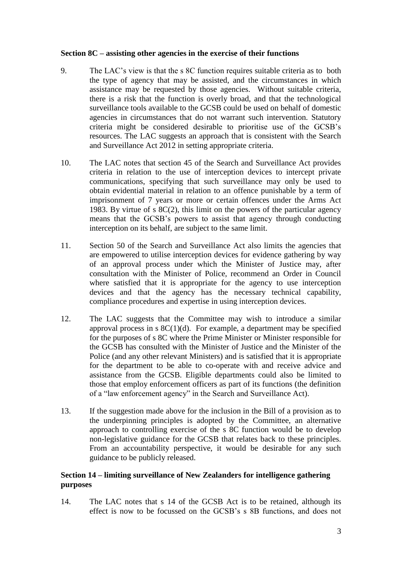### **Section 8C – assisting other agencies in the exercise of their functions**

- 9. The LAC's view is that the s 8C function requires suitable criteria as to both the type of agency that may be assisted, and the circumstances in which assistance may be requested by those agencies. Without suitable criteria, there is a risk that the function is overly broad, and that the technological surveillance tools available to the GCSB could be used on behalf of domestic agencies in circumstances that do not warrant such intervention. Statutory criteria might be considered desirable to prioritise use of the GCSB's resources. The LAC suggests an approach that is consistent with the Search and Surveillance Act 2012 in setting appropriate criteria.
- 10. The LAC notes that section 45 of the Search and Surveillance Act provides criteria in relation to the use of interception devices to intercept private communications, specifying that such surveillance may only be used to obtain evidential material in relation to an offence punishable by a term of imprisonment of 7 years or more or certain offences under the Arms Act 1983. By virtue of s 8C(2), this limit on the powers of the particular agency means that the GCSB's powers to assist that agency through conducting interception on its behalf, are subject to the same limit.
- 11. Section 50 of the Search and Surveillance Act also limits the agencies that are empowered to utilise interception devices for evidence gathering by way of an approval process under which the Minister of Justice may, after consultation with the Minister of Police, recommend an Order in Council where satisfied that it is appropriate for the agency to use interception devices and that the agency has the necessary technical capability, compliance procedures and expertise in using interception devices.
- 12. The LAC suggests that the Committee may wish to introduce a similar approval process in s  $8C(1)(d)$ . For example, a department may be specified for the purposes of s 8C where the Prime Minister or Minister responsible for the GCSB has consulted with the Minister of Justice and the Minister of the Police (and any other relevant Ministers) and is satisfied that it is appropriate for the department to be able to co-operate with and receive advice and assistance from the GCSB. Eligible departments could also be limited to those that employ enforcement officers as part of its functions (the definition of a "law enforcement agency" in the Search and Surveillance Act).
- 13. If the suggestion made above for the inclusion in the Bill of a provision as to the underpinning principles is adopted by the Committee, an alternative approach to controlling exercise of the s 8C function would be to develop non-legislative guidance for the GCSB that relates back to these principles. From an accountability perspective, it would be desirable for any such guidance to be publicly released.

## **Section 14 – limiting surveillance of New Zealanders for intelligence gathering purposes**

14. The LAC notes that s 14 of the GCSB Act is to be retained, although its effect is now to be focussed on the GCSB's s 8B functions, and does not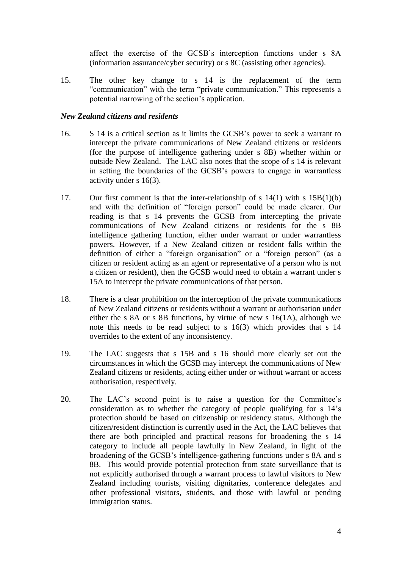affect the exercise of the GCSB's interception functions under s 8A (information assurance/cyber security) or s 8C (assisting other agencies).

15. The other key change to s 14 is the replacement of the term "communication" with the term "private communication." This represents a potential narrowing of the section's application.

### *New Zealand citizens and residents*

- 16. S 14 is a critical section as it limits the GCSB's power to seek a warrant to intercept the private communications of New Zealand citizens or residents (for the purpose of intelligence gathering under s 8B) whether within or outside New Zealand. The LAC also notes that the scope of s 14 is relevant in setting the boundaries of the GCSB's powers to engage in warrantless activity under s 16(3).
- 17. Our first comment is that the inter-relationship of s 14(1) with s 15B(1)(b) and with the definition of "foreign person" could be made clearer. Our reading is that s 14 prevents the GCSB from intercepting the private communications of New Zealand citizens or residents for the s 8B intelligence gathering function, either under warrant or under warrantless powers. However, if a New Zealand citizen or resident falls within the definition of either a "foreign organisation" or a "foreign person" (as a citizen or resident acting as an agent or representative of a person who is not a citizen or resident), then the GCSB would need to obtain a warrant under s 15A to intercept the private communications of that person.
- 18. There is a clear prohibition on the interception of the private communications of New Zealand citizens or residents without a warrant or authorisation under either the s 8A or s 8B functions, by virtue of new s 16(1A), although we note this needs to be read subject to s 16(3) which provides that s 14 overrides to the extent of any inconsistency.
- 19. The LAC suggests that s 15B and s 16 should more clearly set out the circumstances in which the GCSB may intercept the communications of New Zealand citizens or residents, acting either under or without warrant or access authorisation, respectively.
- 20. The LAC's second point is to raise a question for the Committee's consideration as to whether the category of people qualifying for s 14's protection should be based on citizenship or residency status. Although the citizen/resident distinction is currently used in the Act, the LAC believes that there are both principled and practical reasons for broadening the s 14 category to include all people lawfully in New Zealand, in light of the broadening of the GCSB's intelligence-gathering functions under s 8A and s 8B. This would provide potential protection from state surveillance that is not explicitly authorised through a warrant process to lawful visitors to New Zealand including tourists, visiting dignitaries, conference delegates and other professional visitors, students, and those with lawful or pending immigration status.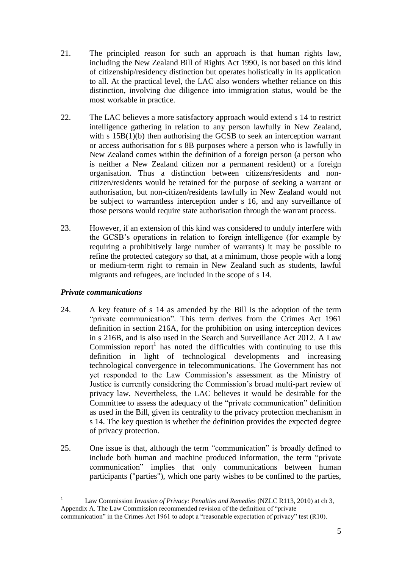- 21. The principled reason for such an approach is that human rights law, including the New Zealand Bill of Rights Act 1990, is not based on this kind of citizenship/residency distinction but operates holistically in its application to all. At the practical level, the LAC also wonders whether reliance on this distinction, involving due diligence into immigration status, would be the most workable in practice.
- 22. The LAC believes a more satisfactory approach would extend s 14 to restrict intelligence gathering in relation to any person lawfully in New Zealand, with s  $15B(1)(b)$  then authorising the GCSB to seek an interception warrant or access authorisation for s 8B purposes where a person who is lawfully in New Zealand comes within the definition of a foreign person (a person who is neither a New Zealand citizen nor a permanent resident) or a foreign organisation. Thus a distinction between citizens/residents and noncitizen/residents would be retained for the purpose of seeking a warrant or authorisation, but non-citizen/residents lawfully in New Zealand would not be subject to warrantless interception under s 16, and any surveillance of those persons would require state authorisation through the warrant process.
- 23. However, if an extension of this kind was considered to unduly interfere with the GCSB's operations in relation to foreign intelligence (for example by requiring a prohibitively large number of warrants) it may be possible to refine the protected category so that, at a minimum, those people with a long or medium-term right to remain in New Zealand such as students, lawful migrants and refugees, are included in the scope of s 14.

## *Private communications*

<u>.</u>

- 24. A key feature of s 14 as amended by the Bill is the adoption of the term "private communication". This term derives from the Crimes Act 1961 definition in section 216A, for the prohibition on using interception devices in s 216B, and is also used in the Search and Surveillance Act 2012. A Law Commission report<sup>1</sup> has noted the difficulties with continuing to use this definition in light of technological developments and increasing technological convergence in telecommunications. The Government has not yet responded to the Law Commission's assessment as the Ministry of Justice is currently considering the Commission's broad multi-part review of privacy law. Nevertheless, the LAC believes it would be desirable for the Committee to assess the adequacy of the "private communication" definition as used in the Bill, given its centrality to the privacy protection mechanism in s 14. The key question is whether the definition provides the expected degree of privacy protection.
- 25. One issue is that, although the term "communication" is broadly defined to include both human and machine produced information, the term "private communication" implies that only communications between human participants ("parties"), which one party wishes to be confined to the parties,

<sup>1</sup> Law Commission *Invasion of Privacy: Penalties and Remedies* (NZLC R113, 2010) at ch 3, Appendix A. The Law Commission recommended revision of the definition of "private communication" in the Crimes Act 1961 to adopt a "reasonable expectation of privacy" test (R10).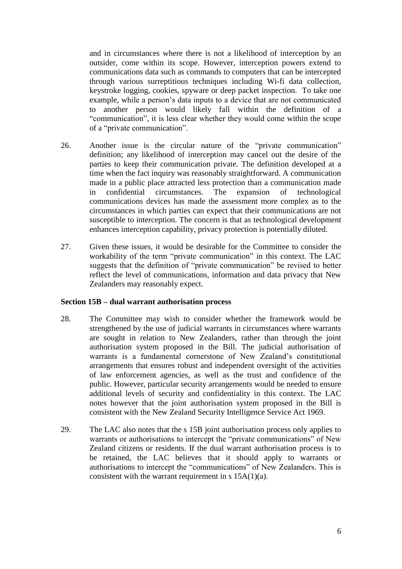and in circumstances where there is not a likelihood of interception by an outsider, come within its scope. However, interception powers extend to communications data such as commands to computers that can be intercepted through various surreptitious techniques including Wi-fi data collection, keystroke logging, cookies, spyware or deep packet inspection. To take one example, while a person's data inputs to a device that are not communicated to another person would likely fall within the definition of a "communication", it is less clear whether they would come within the scope of a "private communication".

- 26. Another issue is the circular nature of the "private communication" definition; any likelihood of interception may cancel out the desire of the parties to keep their communication private. The definition developed at a time when the fact inquiry was reasonably straightforward. A communication made in a public place attracted less protection than a communication made in confidential circumstances. The expansion of technological communications devices has made the assessment more complex as to the circumstances in which parties can expect that their communications are not susceptible to interception. The concern is that as technological development enhances interception capability, privacy protection is potentially diluted.
- 27. Given these issues, it would be desirable for the Committee to consider the workability of the term "private communication" in this context. The LAC suggests that the definition of "private communication" be revised to better reflect the level of communications, information and data privacy that New Zealanders may reasonably expect.

#### **Section 15B – dual warrant authorisation process**

- 28. The Committee may wish to consider whether the framework would be strengthened by the use of judicial warrants in circumstances where warrants are sought in relation to New Zealanders, rather than through the joint authorisation system proposed in the Bill. The judicial authorisation of warrants is a fundamental cornerstone of New Zealand's constitutional arrangements that ensures robust and independent oversight of the activities of law enforcement agencies, as well as the trust and confidence of the public. However, particular security arrangements would be needed to ensure additional levels of security and confidentiality in this context. The LAC notes however that the joint authorisation system proposed in the Bill is consistent with the New Zealand Security Intelligence Service Act 1969.
- 29. The LAC also notes that the s 15B joint authorisation process only applies to warrants or authorisations to intercept the "private communications" of New Zealand citizens or residents. If the dual warrant authorisation process is to be retained, the LAC believes that it should apply to warrants or authorisations to intercept the "communications" of New Zealanders. This is consistent with the warrant requirement in s  $15A(1)(a)$ .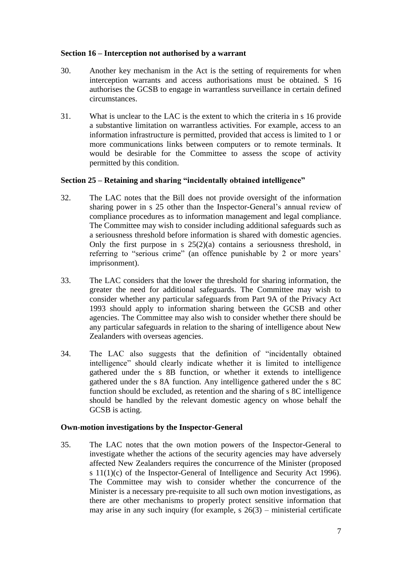### **Section 16 – Interception not authorised by a warrant**

- 30. Another key mechanism in the Act is the setting of requirements for when interception warrants and access authorisations must be obtained. S 16 authorises the GCSB to engage in warrantless surveillance in certain defined circumstances.
- 31. What is unclear to the LAC is the extent to which the criteria in s 16 provide a substantive limitation on warrantless activities. For example, access to an information infrastructure is permitted, provided that access is limited to 1 or more communications links between computers or to remote terminals. It would be desirable for the Committee to assess the scope of activity permitted by this condition.

### **Section 25 – Retaining and sharing "incidentally obtained intelligence"**

- 32. The LAC notes that the Bill does not provide oversight of the information sharing power in s 25 other than the Inspector-General's annual review of compliance procedures as to information management and legal compliance. The Committee may wish to consider including additional safeguards such as a seriousness threshold before information is shared with domestic agencies. Only the first purpose in s  $25(2)(a)$  contains a seriousness threshold, in referring to "serious crime" (an offence punishable by 2 or more years' imprisonment).
- 33. The LAC considers that the lower the threshold for sharing information, the greater the need for additional safeguards. The Committee may wish to consider whether any particular safeguards from Part 9A of the Privacy Act 1993 should apply to information sharing between the GCSB and other agencies. The Committee may also wish to consider whether there should be any particular safeguards in relation to the sharing of intelligence about New Zealanders with overseas agencies.
- 34. The LAC also suggests that the definition of "incidentally obtained intelligence" should clearly indicate whether it is limited to intelligence gathered under the s 8B function, or whether it extends to intelligence gathered under the s 8A function. Any intelligence gathered under the s 8C function should be excluded, as retention and the sharing of s 8C intelligence should be handled by the relevant domestic agency on whose behalf the GCSB is acting.

#### **Own-motion investigations by the Inspector-General**

35. The LAC notes that the own motion powers of the Inspector-General to investigate whether the actions of the security agencies may have adversely affected New Zealanders requires the concurrence of the Minister (proposed s 11(1)(c) of the Inspector-General of Intelligence and Security Act 1996). The Committee may wish to consider whether the concurrence of the Minister is a necessary pre-requisite to all such own motion investigations, as there are other mechanisms to properly protect sensitive information that may arise in any such inquiry (for example,  $s \cdot 26(3)$  – ministerial certificate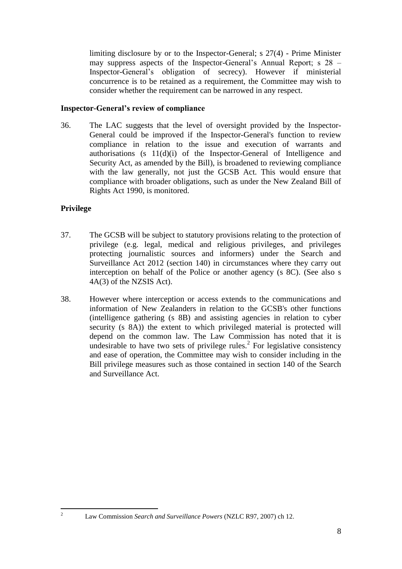limiting disclosure by or to the Inspector-General; s 27(4) - Prime Minister may suppress aspects of the Inspector-General's Annual Report; s 28 – Inspector-General's obligation of secrecy). However if ministerial concurrence is to be retained as a requirement, the Committee may wish to consider whether the requirement can be narrowed in any respect.

## **Inspector-General's review of compliance**

36. The LAC suggests that the level of oversight provided by the Inspector-General could be improved if the Inspector-General's function to review compliance in relation to the issue and execution of warrants and authorisations (s 11(d)(i) of the Inspector-General of Intelligence and Security Act, as amended by the Bill), is broadened to reviewing compliance with the law generally, not just the GCSB Act. This would ensure that compliance with broader obligations, such as under the New Zealand Bill of Rights Act 1990, is monitored.

# **Privilege**

 $\overline{c}$ 

- 37. The GCSB will be subject to statutory provisions relating to the protection of privilege (e.g. legal, medical and religious privileges, and privileges protecting journalistic sources and informers) under the Search and Surveillance Act 2012 (section 140) in circumstances where they carry out interception on behalf of the Police or another agency (s 8C). (See also s 4A(3) of the NZSIS Act).
- 38. However where interception or access extends to the communications and information of New Zealanders in relation to the GCSB's other functions (intelligence gathering (s 8B) and assisting agencies in relation to cyber security (s 8A)) the extent to which privileged material is protected will depend on the common law. The Law Commission has noted that it is undesirable to have two sets of privilege rules.<sup>2</sup> For legislative consistency and ease of operation, the Committee may wish to consider including in the Bill privilege measures such as those contained in section 140 of the Search and Surveillance Act.

<sup>2</sup> Law Commission *Search and Surveillance Powers* (NZLC R97, 2007) ch 12.